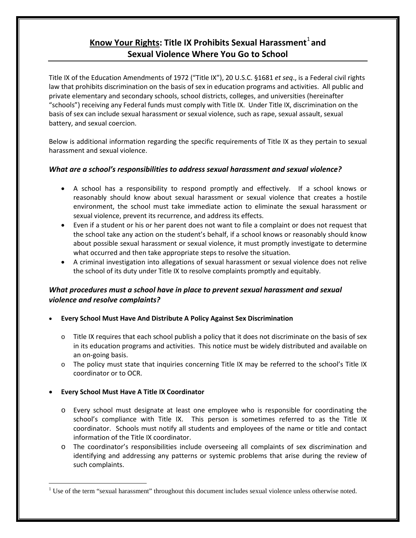# **Know Your Rights: Title IX Prohibits Sexual Harassment**<sup>[1](#page-0-0)</sup> and **Sexual Violence Where You Go to School**

Title IX of the Education Amendments of 1972 ("Title IX"), 20 U.S.C. §1681 *et seq*., is a Federal civil rights law that prohibits discrimination on the basis of sex in education programs and activities. All public and private elementary and secondary schools, school districts, colleges, and universities (hereinafter "schools") receiving any Federal funds must comply with Title IX. Under Title IX, discrimination on the basis of sex can include sexual harassment or sexual violence, such as rape, sexual assault, sexual battery, and sexual coercion.

Below is additional information regarding the specific requirements of Title IX as they pertain to sexual harassment and sexual violence.

### *What are a school's responsibilities to address sexual harassment and sexual violence?*

- A school has a responsibility to respond promptly and effectively. If a school knows or reasonably should know about sexual harassment or sexual violence that creates a hostile environment, the school must take immediate action to eliminate the sexual harassment or sexual violence, prevent its recurrence, and address its effects.
- Even if a student or his or her parent does not want to file a complaint or does not request that the school take any action on the student's behalf, if a school knows or reasonably should know about possible sexual harassment or sexual violence, it must promptly investigate to determine what occurred and then take appropriate steps to resolve the situation.
- A criminal investigation into allegations of sexual harassment or sexual violence does not relive the school of its duty under Title IX to resolve complaints promptly and equitably.

## *[What procedures must a school have in place to prevent sexual harassment and sexual](http://www2.ed.gov/about/offices/list/ocr/docs/ocrshpam.html#_rt3d)  [violence and resolve complaints?](http://www2.ed.gov/about/offices/list/ocr/docs/ocrshpam.html#_rt3d)*

- **Every School Must Have And Distribute A Policy Against Sex Discrimination**
	- $\circ$  Title IX requires that each school publish a policy that it does not discriminate on the basis of sex in its education programs and activities. This notice must be widely distributed and available on an on-going basis.
	- o The policy must state that inquiries concerning Title IX may be referred to the school's Title IX coordinator or to OCR.

### • **Every School Must Have A Title IX Coordinator**

- o Every school must designate at least one employee who is responsible for coordinating the school's compliance with Title IX. This person is sometimes referred to as the Title IX coordinator. Schools must notify all students and employees of the name or title and contact information of the Title IX coordinator.
- o The coordinator's responsibilities include overseeing all complaints of sex discrimination and identifying and addressing any patterns or systemic problems that arise during the review of such complaints.

<span id="page-0-0"></span><sup>&</sup>lt;sup>1</sup> Use of the term "sexual harassment" throughout this document includes sexual violence unless otherwise noted.